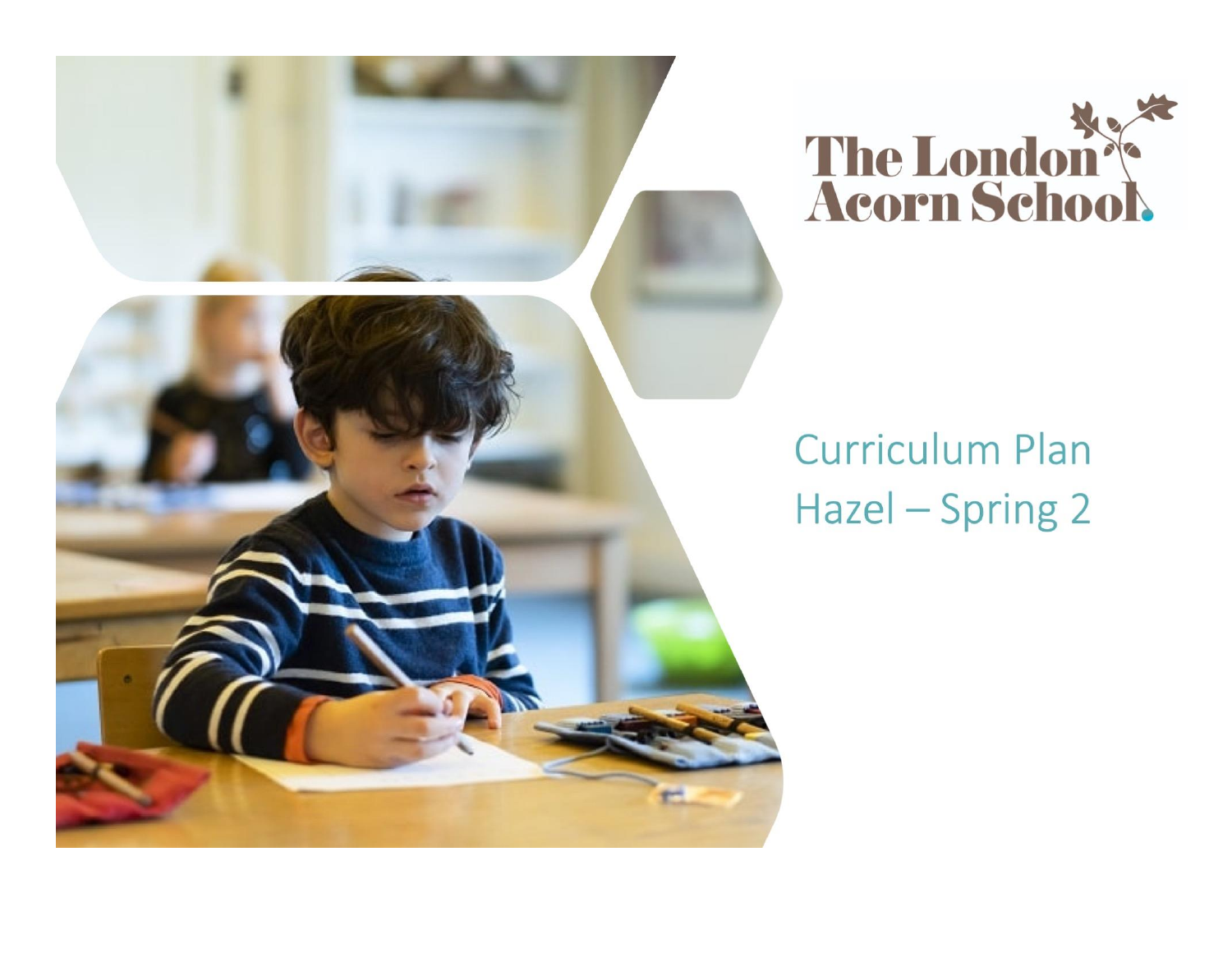



# **Curriculum Plan** Hazel - Spring 2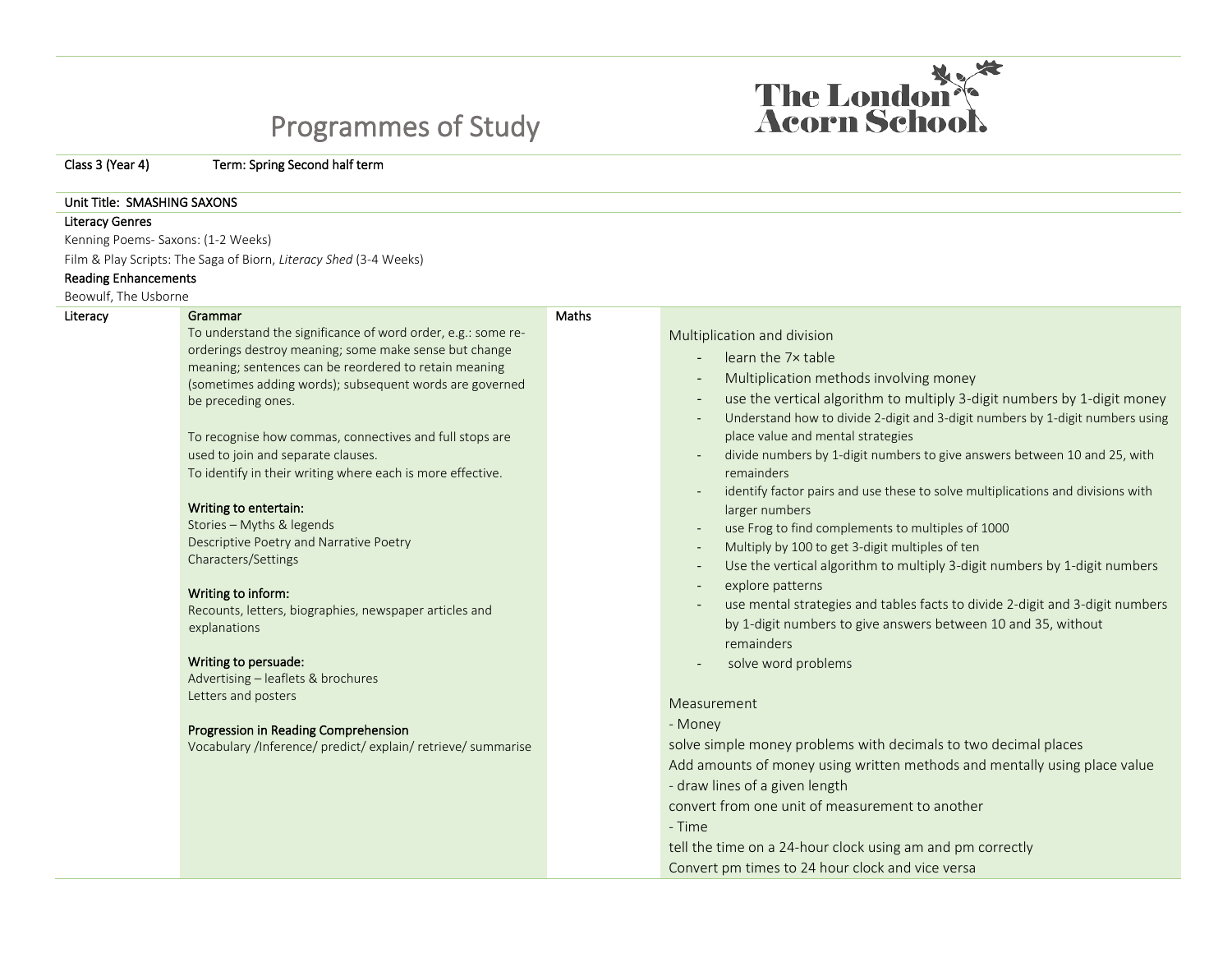# Programmes of Study

Class 3 (Year 4) Term: Spring Second half term

#### Unit Title: SMASHING SAXONS

#### Literacy Genres

Kenning Poems- Saxons: (1-2 Weeks)

Film & Play Scripts: The Saga of Biorn, *Literacy Shed* (3-4 Weeks)

#### Reading Enhancements

Beowulf, The Usborne

### Literacy **Grammar**

To understand the significance of word order, e.g.: some reorderings destroy meaning; some make sense but change meaning; sentences can be reordered to retain meaning (sometimes adding words); subsequent words are governed be preceding ones.

To recognise how commas, connectives and full stops are used to join and separate clauses. To identify in their writing where each is more effective.

#### Writing to entertain:

Stories – Myths & legends Descriptive Poetry and Narrative Poetry Characters/Settings

#### Writing to inform:

Recounts, letters, biographies, newspaper articles and explanations

#### Writing to persuade:

Advertising – leaflets & brochures Letters and posters

#### Progression in Reading Comprehension

Vocabulary /Inference/ predict/ explain/ retrieve/ summarise

## Multiplication and division

**Maths** 

- learn the 7x table
- Multiplication methods involving money
- use the vertical algorithm to multiply 3-digit numbers by 1-digit money
- Understand how to divide 2-digit and 3-digit numbers by 1-digit numbers using place value and mental strategies
- divide numbers by 1-digit numbers to give answers between 10 and 25, with remainders
- identify factor pairs and use these to solve multiplications and divisions with larger numbers
- use Frog to find complements to multiples of 1000
- Multiply by 100 to get 3-digit multiples of ten
- Use the vertical algorithm to multiply 3-digit numbers by 1-digit numbers
- explore patterns
- use mental strategies and tables facts to divide 2-digit and 3-digit numbers by 1-digit numbers to give answers between 10 and 35, without remainders
- solve word problems

#### Measurement

- Money

solve simple money problems with decimals to two decimal places Add amounts of money using written methods and mentally using place value - draw lines of a given length

convert from one unit of measurement to another

- Time

tell the time on a 24-hour clock using am and pm correctly Convert pm times to 24 hour clock and vice versa

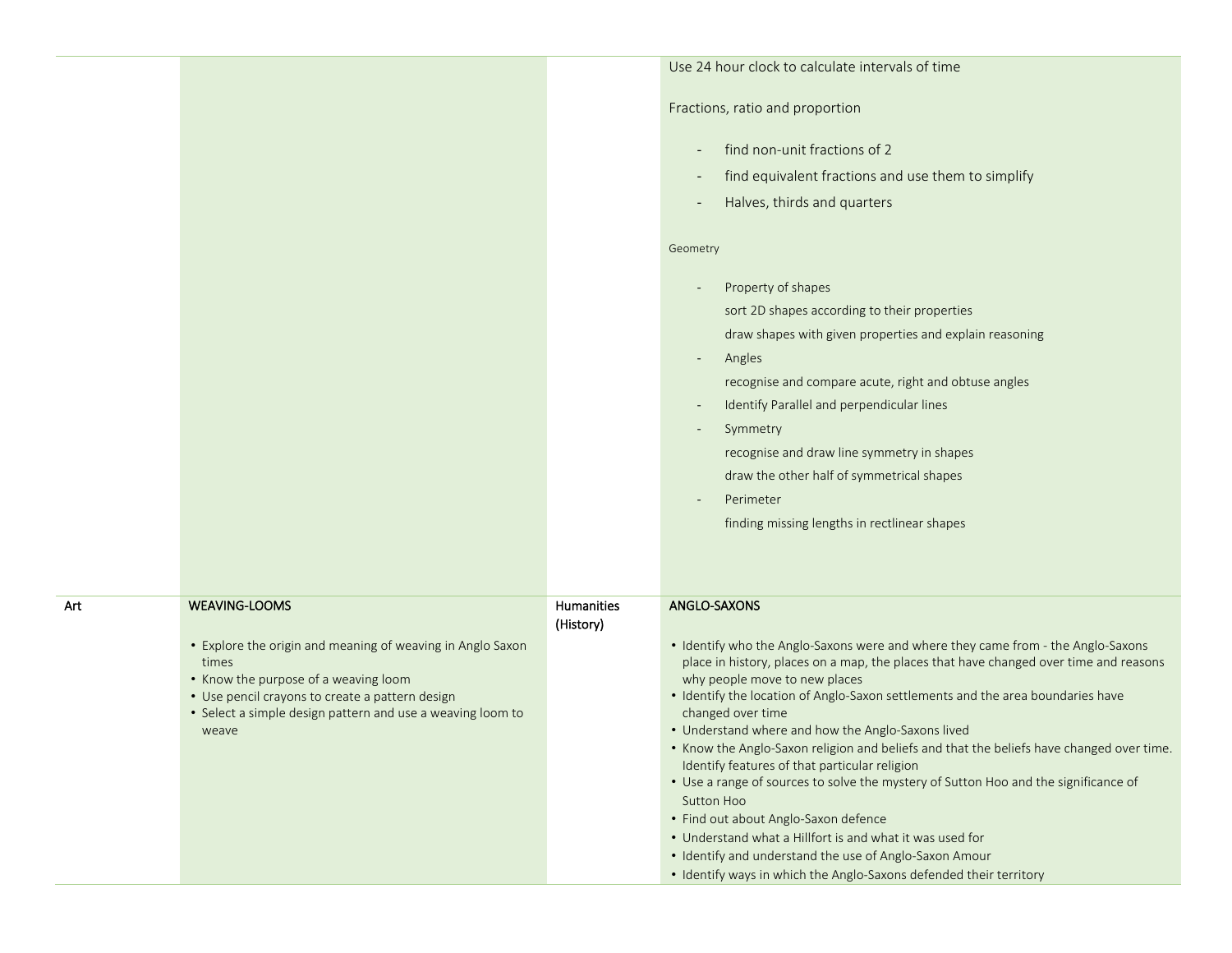|     |                                                                                                                                                                                                                                       |            | Use 24 hour clock to calculate intervals of time                                                                                                                                                                                                                                                                                                                                                                                                                                                                                                                                                                          |
|-----|---------------------------------------------------------------------------------------------------------------------------------------------------------------------------------------------------------------------------------------|------------|---------------------------------------------------------------------------------------------------------------------------------------------------------------------------------------------------------------------------------------------------------------------------------------------------------------------------------------------------------------------------------------------------------------------------------------------------------------------------------------------------------------------------------------------------------------------------------------------------------------------------|
|     |                                                                                                                                                                                                                                       |            | Fractions, ratio and proportion                                                                                                                                                                                                                                                                                                                                                                                                                                                                                                                                                                                           |
|     |                                                                                                                                                                                                                                       |            | find non-unit fractions of 2<br>$\overline{\phantom{a}}$                                                                                                                                                                                                                                                                                                                                                                                                                                                                                                                                                                  |
|     |                                                                                                                                                                                                                                       |            | find equivalent fractions and use them to simplify<br>$\overline{\phantom{a}}$                                                                                                                                                                                                                                                                                                                                                                                                                                                                                                                                            |
|     |                                                                                                                                                                                                                                       |            | Halves, thirds and quarters<br>$\overline{\phantom{a}}$                                                                                                                                                                                                                                                                                                                                                                                                                                                                                                                                                                   |
|     |                                                                                                                                                                                                                                       |            | Geometry                                                                                                                                                                                                                                                                                                                                                                                                                                                                                                                                                                                                                  |
|     |                                                                                                                                                                                                                                       |            | Property of shapes                                                                                                                                                                                                                                                                                                                                                                                                                                                                                                                                                                                                        |
|     |                                                                                                                                                                                                                                       |            | sort 2D shapes according to their properties                                                                                                                                                                                                                                                                                                                                                                                                                                                                                                                                                                              |
|     |                                                                                                                                                                                                                                       |            | draw shapes with given properties and explain reasoning                                                                                                                                                                                                                                                                                                                                                                                                                                                                                                                                                                   |
|     |                                                                                                                                                                                                                                       |            | Angles<br>$\overline{\phantom{a}}$<br>recognise and compare acute, right and obtuse angles                                                                                                                                                                                                                                                                                                                                                                                                                                                                                                                                |
|     |                                                                                                                                                                                                                                       |            | Identify Parallel and perpendicular lines<br>$\overline{\phantom{a}}$                                                                                                                                                                                                                                                                                                                                                                                                                                                                                                                                                     |
|     |                                                                                                                                                                                                                                       |            | Symmetry<br>$\overline{\phantom{a}}$                                                                                                                                                                                                                                                                                                                                                                                                                                                                                                                                                                                      |
|     |                                                                                                                                                                                                                                       |            | recognise and draw line symmetry in shapes                                                                                                                                                                                                                                                                                                                                                                                                                                                                                                                                                                                |
|     |                                                                                                                                                                                                                                       |            | draw the other half of symmetrical shapes                                                                                                                                                                                                                                                                                                                                                                                                                                                                                                                                                                                 |
|     |                                                                                                                                                                                                                                       |            | Perimeter                                                                                                                                                                                                                                                                                                                                                                                                                                                                                                                                                                                                                 |
|     |                                                                                                                                                                                                                                       |            | finding missing lengths in rectlinear shapes                                                                                                                                                                                                                                                                                                                                                                                                                                                                                                                                                                              |
|     |                                                                                                                                                                                                                                       |            |                                                                                                                                                                                                                                                                                                                                                                                                                                                                                                                                                                                                                           |
| Art | <b>WEAVING-LOOMS</b>                                                                                                                                                                                                                  | Humanities | ANGLO-SAXONS                                                                                                                                                                                                                                                                                                                                                                                                                                                                                                                                                                                                              |
|     |                                                                                                                                                                                                                                       | (History)  |                                                                                                                                                                                                                                                                                                                                                                                                                                                                                                                                                                                                                           |
|     | • Explore the origin and meaning of weaving in Anglo Saxon<br>times<br>• Know the purpose of a weaving loom<br>• Use pencil crayons to create a pattern design<br>• Select a simple design pattern and use a weaving loom to<br>weave |            | • Identify who the Anglo-Saxons were and where they came from - the Anglo-Saxons<br>place in history, places on a map, the places that have changed over time and reasons<br>why people move to new places<br>• Identify the location of Anglo-Saxon settlements and the area boundaries have<br>changed over time<br>• Understand where and how the Anglo-Saxons lived<br>. Know the Anglo-Saxon religion and beliefs and that the beliefs have changed over time.<br>Identify features of that particular religion<br>• Use a range of sources to solve the mystery of Sutton Hoo and the significance of<br>Sutton Hoo |
|     |                                                                                                                                                                                                                                       |            | • Find out about Anglo-Saxon defence                                                                                                                                                                                                                                                                                                                                                                                                                                                                                                                                                                                      |
|     |                                                                                                                                                                                                                                       |            | • Understand what a Hillfort is and what it was used for                                                                                                                                                                                                                                                                                                                                                                                                                                                                                                                                                                  |
|     |                                                                                                                                                                                                                                       |            | • Identify and understand the use of Anglo-Saxon Amour                                                                                                                                                                                                                                                                                                                                                                                                                                                                                                                                                                    |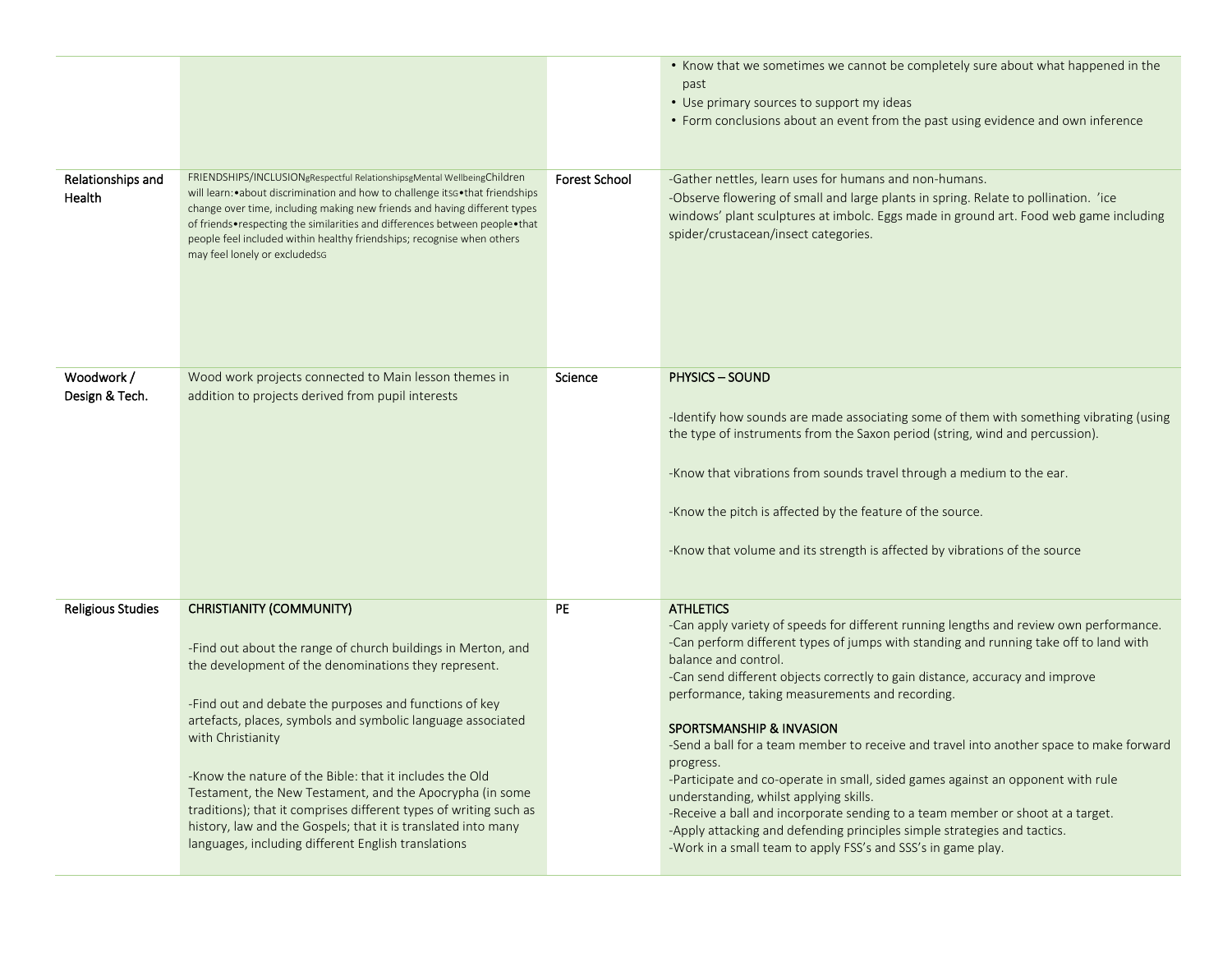|                             |                                                                                                                                                                                                                                                                                                                                                                                                                                                                                                                                                                                                                           |                      | • Know that we sometimes we cannot be completely sure about what happened in the<br>past<br>• Use primary sources to support my ideas<br>• Form conclusions about an event from the past using evidence and own inference                                                                                                                                                                                                                                                                                                                                                                                                                                                                                                                                                                                                                                                |
|-----------------------------|---------------------------------------------------------------------------------------------------------------------------------------------------------------------------------------------------------------------------------------------------------------------------------------------------------------------------------------------------------------------------------------------------------------------------------------------------------------------------------------------------------------------------------------------------------------------------------------------------------------------------|----------------------|--------------------------------------------------------------------------------------------------------------------------------------------------------------------------------------------------------------------------------------------------------------------------------------------------------------------------------------------------------------------------------------------------------------------------------------------------------------------------------------------------------------------------------------------------------------------------------------------------------------------------------------------------------------------------------------------------------------------------------------------------------------------------------------------------------------------------------------------------------------------------|
| Relationships and<br>Health | FRIENDSHIPS/INCLUSIONgRespectful RelationshipsgMental WellbeingChildren<br>will learn: • about discrimination and how to challenge its G . that friendships<br>change over time, including making new friends and having different types<br>of friends•respecting the similarities and differences between people•that<br>people feel included within healthy friendships; recognise when others<br>may feel lonely or excludedsg                                                                                                                                                                                         | <b>Forest School</b> | -Gather nettles, learn uses for humans and non-humans.<br>-Observe flowering of small and large plants in spring. Relate to pollination. 'ice<br>windows' plant sculptures at imbolc. Eggs made in ground art. Food web game including<br>spider/crustacean/insect categories.                                                                                                                                                                                                                                                                                                                                                                                                                                                                                                                                                                                           |
| Woodwork/<br>Design & Tech. | Wood work projects connected to Main lesson themes in<br>addition to projects derived from pupil interests                                                                                                                                                                                                                                                                                                                                                                                                                                                                                                                | Science              | <b>PHYSICS - SOUND</b><br>-Identify how sounds are made associating some of them with something vibrating (using<br>the type of instruments from the Saxon period (string, wind and percussion).<br>-Know that vibrations from sounds travel through a medium to the ear.<br>-Know the pitch is affected by the feature of the source.<br>-Know that volume and its strength is affected by vibrations of the source                                                                                                                                                                                                                                                                                                                                                                                                                                                     |
| <b>Religious Studies</b>    | <b>CHRISTIANITY (COMMUNITY)</b><br>-Find out about the range of church buildings in Merton, and<br>the development of the denominations they represent.<br>-Find out and debate the purposes and functions of key<br>artefacts, places, symbols and symbolic language associated<br>with Christianity<br>-Know the nature of the Bible: that it includes the Old<br>Testament, the New Testament, and the Apocrypha (in some<br>traditions); that it comprises different types of writing such as<br>history, law and the Gospels; that it is translated into many<br>languages, including different English translations | PE                   | <b>ATHLETICS</b><br>-Can apply variety of speeds for different running lengths and review own performance.<br>-Can perform different types of jumps with standing and running take off to land with<br>balance and control.<br>-Can send different objects correctly to gain distance, accuracy and improve<br>performance, taking measurements and recording.<br><b>SPORTSMANSHIP &amp; INVASION</b><br>-Send a ball for a team member to receive and travel into another space to make forward<br>progress.<br>-Participate and co-operate in small, sided games against an opponent with rule<br>understanding, whilst applying skills.<br>-Receive a ball and incorporate sending to a team member or shoot at a target.<br>-Apply attacking and defending principles simple strategies and tactics.<br>-Work in a small team to apply FSS's and SSS's in game play. |